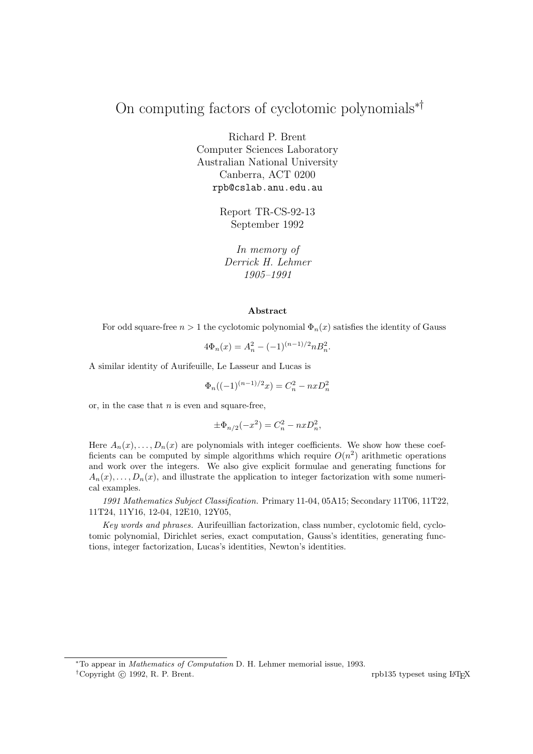# On computing factors of cyclotomic polynomials∗†

Richard P. Brent Computer Sciences Laboratory Australian National University Canberra, ACT 0200 rpb@cslab.anu.edu.au

> Report TR-CS-92-13 September 1992

In memory of Derrick H. Lehmer 1905–1991

#### Abstract

For odd square-free  $n > 1$  the cyclotomic polynomial  $\Phi_n(x)$  satisfies the identity of Gauss

$$
4\Phi_n(x) = A_n^2 - (-1)^{(n-1)/2} n B_n^2.
$$

A similar identity of Aurifeuille, Le Lasseur and Lucas is

$$
\Phi_n((-1)^{(n-1)/2}x) = C_n^2 - nxD_n^2
$$

or, in the case that  $n$  is even and square-free,

$$
\pm \Phi_{n/2}(-x^2) = C_n^2 - nxD_n^2,
$$

Here  $A_n(x), \ldots, D_n(x)$  are polynomials with integer coefficients. We show how these coefficients can be computed by simple algorithms which require  $O(n^2)$  arithmetic operations and work over the integers. We also give explicit formulae and generating functions for  $A_n(x), \ldots, D_n(x)$ , and illustrate the application to integer factorization with some numerical examples.

1991 Mathematics Subject Classification. Primary 11-04, 05A15; Secondary 11T06, 11T22, 11T24, 11Y16, 12-04, 12E10, 12Y05,

Key words and phrases. Aurifeuillian factorization, class number, cyclotomic field, cyclotomic polynomial, Dirichlet series, exact computation, Gauss's identities, generating functions, integer factorization, Lucas's identities, Newton's identities.

<sup>\*</sup>To appear in *Mathematics of Computation* D. H. Lehmer memorial issue, 1993.

<sup>&</sup>lt;sup>†</sup>Copyright © 1992, R. P. Brent. rpb135 typeset using LATEX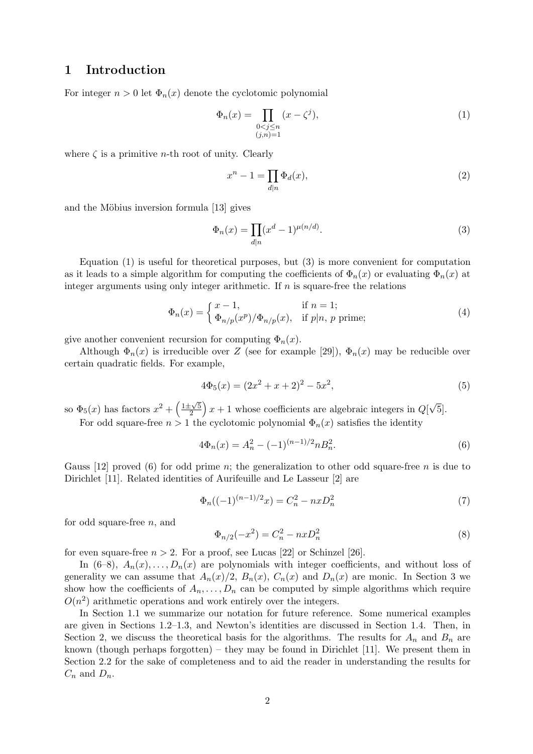## 1 Introduction

For integer  $n > 0$  let  $\Phi_n(x)$  denote the cyclotomic polynomial

$$
\Phi_n(x) = \prod_{\substack{0 < j \le n \\ (j,n) = 1}} (x - \zeta^j),\tag{1}
$$

where  $\zeta$  is a primitive *n*-th root of unity. Clearly

$$
x^n - 1 = \prod_{d|n} \Phi_d(x),\tag{2}
$$

and the Möbius inversion formula [13] gives

$$
\Phi_n(x) = \prod_{d|n} (x^d - 1)^{\mu(n/d)}.
$$
\n(3)

Equation  $(1)$  is useful for theoretical purposes, but  $(3)$  is more convenient for computation as it leads to a simple algorithm for computing the coefficients of  $\Phi_n(x)$  or evaluating  $\Phi_n(x)$  at integer arguments using only integer arithmetic. If  $n$  is square-free the relations

$$
\Phi_n(x) = \begin{cases} x - 1, & \text{if } n = 1; \\ \Phi_{n/p}(x^p) / \Phi_{n/p}(x), & \text{if } p \mid n, \ p \text{ prime}; \end{cases} \tag{4}
$$

give another convenient recursion for computing  $\Phi_n(x)$ .

Although  $\Phi_n(x)$  is irreducible over Z (see for example [29]),  $\Phi_n(x)$  may be reducible over certain quadratic fields. For example,

$$
4\Phi_5(x) = (2x^2 + x + 2)^2 - 5x^2,\tag{5}
$$

so  $\Phi_5(x)$  has factors  $x^2 + \left(\frac{1 \pm \sqrt{5}}{2}\right)$  $\frac{2\sqrt{5}}{2}$  x + 1 whose coefficients are algebraic integers in  $Q$ √ 5]. For odd square-free  $n > 1$  the cyclotomic polynomial  $\Phi_n(x)$  satisfies the identity

$$
4\Phi_n(x) = A_n^2 - (-1)^{(n-1)/2} n B_n^2.
$$
\n(6)

Gauss [12] proved (6) for odd prime n; the generalization to other odd square-free n is due to Dirichlet [11]. Related identities of Aurifeuille and Le Lasseur [2] are

$$
\Phi_n((-1)^{(n-1)/2}x) = C_n^2 - nxD_n^2 \tag{7}
$$

for odd square-free  $n$ , and

$$
\Phi_{n/2}(-x^2) = C_n^2 - nxD_n^2\tag{8}
$$

for even square-free  $n > 2$ . For a proof, see Lucas [22] or Schinzel [26].

In  $(6-8)$ ,  $A_n(x), \ldots, D_n(x)$  are polynomials with integer coefficients, and without loss of generality we can assume that  $A_n(x)/2$ ,  $B_n(x)$ ,  $C_n(x)$  and  $D_n(x)$  are monic. In Section 3 we show how the coefficients of  $A_n, \ldots, D_n$  can be computed by simple algorithms which require  $O(n^2)$  arithmetic operations and work entirely over the integers.

In Section 1.1 we summarize our notation for future reference. Some numerical examples are given in Sections 1.2–1.3, and Newton's identities are discussed in Section 1.4. Then, in Section 2, we discuss the theoretical basis for the algorithms. The results for  $A_n$  and  $B_n$  are known (though perhaps forgotten) – they may be found in Dirichlet  $[11]$ . We present them in Section 2.2 for the sake of completeness and to aid the reader in understanding the results for  $C_n$  and  $D_n$ .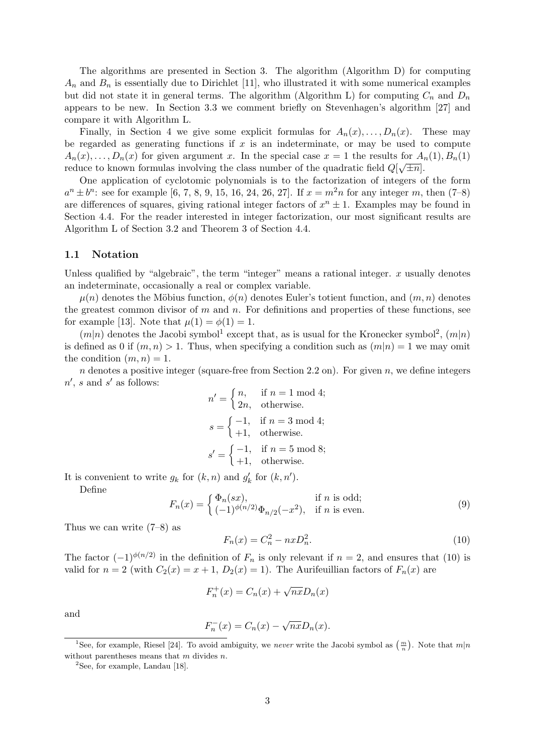The algorithms are presented in Section 3. The algorithm (Algorithm D) for computing  $A_n$  and  $B_n$  is essentially due to Dirichlet [11], who illustrated it with some numerical examples but did not state it in general terms. The algorithm (Algorithm L) for computing  $C_n$  and  $D_n$ appears to be new. In Section 3.3 we comment briefly on Stevenhagen's algorithm [27] and compare it with Algorithm L.

Finally, in Section 4 we give some explicit formulas for  $A_n(x), \ldots, D_n(x)$ . These may be regarded as generating functions if  $x$  is an indeterminate, or may be used to compute  $A_n(x), \ldots, D_n(x)$  for given argument x. In the special case  $x = 1$  the results for  $A_n(1), B_n(1)$ reduce to known formulas involving the class number of the quadratic field  $Q[\sqrt{\pm n}]$ .

One application of cyclotomic polynomials is to the factorization of integers of the form  $a^{n} \pm b^{n}$ : see for example [6, 7, 8, 9, 15, 16, 24, 26, 27]. If  $x = m^{2}n$  for any integer m, then (7–8) are differences of squares, giving rational integer factors of  $x^n \pm 1$ . Examples may be found in Section 4.4. For the reader interested in integer factorization, our most significant results are Algorithm L of Section 3.2 and Theorem 3 of Section 4.4.

### 1.1 Notation

Unless qualified by "algebraic", the term "integer" means a rational integer.  $x$  usually denotes an indeterminate, occasionally a real or complex variable.

 $\mu(n)$  denotes the Möbius function,  $\phi(n)$  denotes Euler's totient function, and  $(m, n)$  denotes the greatest common divisor of  $m$  and  $n$ . For definitions and properties of these functions, see for example [13]. Note that  $\mu(1) = \phi(1) = 1$ .

 $(m|n)$  denotes the Jacobi symbol<sup>1</sup> except that, as is usual for the Kronecker symbol<sup>2</sup>,  $(m|n)$ is defined as 0 if  $(m, n) > 1$ . Thus, when specifying a condition such as  $(m|n) = 1$  we may omit the condition  $(m, n) = 1$ .

 $n$  denotes a positive integer (square-free from Section 2.2 on). For given  $n$ , we define integers  $n'$ , s and s' as follows:

$$
n' = \begin{cases} n, & \text{if } n = 1 \text{ mod } 4; \\ 2n, & \text{otherwise.} \end{cases}
$$
\n
$$
s = \begin{cases} -1, & \text{if } n = 3 \text{ mod } 4; \\ +1, & \text{otherwise.} \end{cases}
$$
\n
$$
s' = \begin{cases} -1, & \text{if } n = 5 \text{ mod } 8; \\ +1, & \text{otherwise.} \end{cases}
$$

It is convenient to write  $g_k$  for  $(k, n)$  and  $g'_k$  for  $(k, n')$ .

Define

$$
F_n(x) = \begin{cases} \Phi_n(sx), & \text{if } n \text{ is odd;} \\ (-1)^{\phi(n/2)} \Phi_{n/2}(-x^2), & \text{if } n \text{ is even.} \end{cases} \tag{9}
$$

Thus we can write (7–8) as

$$
F_n(x) = C_n^2 - nxD_n^2.
$$
\n(10)

The factor  $(-1)^{\phi(n/2)}$  in the definition of  $F_n$  is only relevant if  $n = 2$ , and ensures that (10) is valid for  $n = 2$  (with  $C_2(x) = x + 1$ ,  $D_2(x) = 1$ ). The Aurifeuillian factors of  $F_n(x)$  are

$$
F_n^+(x) = C_n(x) + \sqrt{n x} D_n(x)
$$

and

$$
F_n^-(x) = C_n(x) - \sqrt{nx} D_n(x).
$$

 ${}^{2}$ See, for example, Landau [18].

<sup>&</sup>lt;sup>1</sup>See, for example, Riesel [24]. To avoid ambiguity, we never write the Jacobi symbol as  $\left(\frac{m}{n}\right)$ . Note that  $m|n$ without parentheses means that  $m$  divides  $n$ .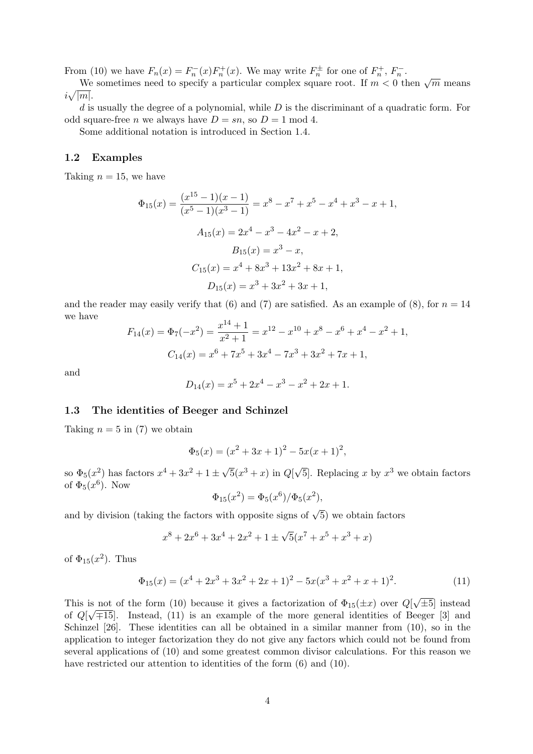From (10) we have  $F_n(x) = F_n^{-}(x)F_n^{+}(x)$ . We may write  $F_n^{\pm}$  for one of  $F_n^{+}$ ,  $F_n^{-}$ .

We sometimes need to specify a particular complex square root. If  $m < 0$  then  $\sqrt{m}$  means  $i\sqrt{|m|}$ .

 $d$  is usually the degree of a polynomial, while  $D$  is the discriminant of a quadratic form. For odd square-free *n* we always have  $D = sn$ , so  $D = 1 \text{ mod } 4$ .

Some additional notation is introduced in Section 1.4.

## 1.2 Examples

Taking  $n = 15$ , we have

$$
\Phi_{15}(x) = \frac{(x^{15} - 1)(x - 1)}{(x^5 - 1)(x^3 - 1)} = x^8 - x^7 + x^5 - x^4 + x^3 - x + 1,
$$
  
\n
$$
A_{15}(x) = 2x^4 - x^3 - 4x^2 - x + 2,
$$
  
\n
$$
B_{15}(x) = x^3 - x,
$$
  
\n
$$
C_{15}(x) = x^4 + 8x^3 + 13x^2 + 8x + 1,
$$
  
\n
$$
D_{15}(x) = x^3 + 3x^2 + 3x + 1,
$$

and the reader may easily verify that (6) and (7) are satisfied. As an example of (8), for  $n = 14$ we have

$$
F_{14}(x) = \Phi_7(-x^2) = \frac{x^{14} + 1}{x^2 + 1} = x^{12} - x^{10} + x^8 - x^6 + x^4 - x^2 + 1,
$$
  

$$
C_{14}(x) = x^6 + 7x^5 + 3x^4 - 7x^3 + 3x^2 + 7x + 1,
$$

and

$$
D_{14}(x) = x^5 + 2x^4 - x^3 - x^2 + 2x + 1.
$$

## 1.3 The identities of Beeger and Schinzel

Taking  $n = 5$  in (7) we obtain

$$
\Phi_5(x) = (x^2 + 3x + 1)^2 - 5x(x+1)^2,
$$

so  $\Phi_5(x^2)$  has factors  $x^4 + 3x^2 + 1 \pm \sqrt{ }$  $\overline{5}(x^3+x)$  in  $Q[\sqrt{2}$  $\overline{5}$ . Replacing x by  $x^3$  we obtain factors of  $\Phi_5(x^6)$ . Now

$$
\Phi_{15}(x^2) = \Phi_5(x^6)/\Phi_5(x^2),
$$

and by division (taking the factors with opposite signs of  $\sqrt{5}$ ) we obtain factors

$$
x^{8} + 2x^{6} + 3x^{4} + 2x^{2} + 1 \pm \sqrt{5}(x^{7} + x^{5} + x^{3} + x)
$$

of  $\Phi_{15}(x^2)$ . Thus

$$
\Phi_{15}(x) = (x^4 + 2x^3 + 3x^2 + 2x + 1)^2 - 5x(x^3 + x^2 + x + 1)^2.
$$
\n(11)

This is not of the form (10) because it gives a factorization of  $\Phi_{15}(\pm x)$  over  $Q$ √ is not of the form (10) because it gives a factorization of  $\Phi_{15}(\pm x)$  over  $Q[\sqrt{\pm 5}]$  instead of  $Q[\sqrt{\pm 15}]$ . Instead, (11) is an example of the more general identities of Beeger [3] and Schinzel [26]. These identities can all be obtained in a similar manner from (10), so in the application to integer factorization they do not give any factors which could not be found from several applications of (10) and some greatest common divisor calculations. For this reason we have restricted our attention to identities of the form  $(6)$  and  $(10)$ .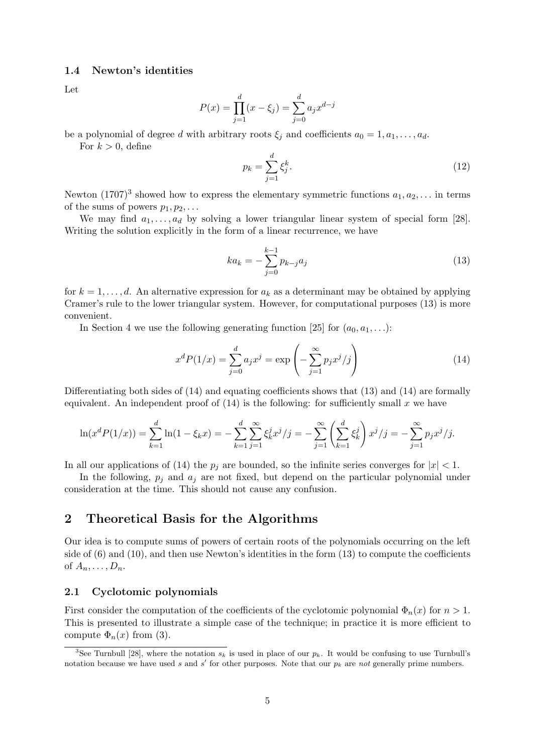## 1.4 Newton's identities

Let

$$
P(x) = \prod_{j=1}^{d} (x - \xi_j) = \sum_{j=0}^{d} a_j x^{d-j}
$$

be a polynomial of degree d with arbitrary roots  $\xi_i$  and coefficients  $a_0 = 1, a_1, \ldots, a_d$ .

For  $k > 0$ , define

$$
p_k = \sum_{j=1}^d \xi_j^k. \tag{12}
$$

Newton  $(1707)^3$  showed how to express the elementary symmetric functions  $a_1, a_2, \ldots$  in terms of the sums of powers  $p_1, p_2, \ldots$ 

We may find  $a_1, \ldots, a_d$  by solving a lower triangular linear system of special form [28]. Writing the solution explicitly in the form of a linear recurrence, we have

$$
ka_k = -\sum_{j=0}^{k-1} p_{k-j} a_j \tag{13}
$$

for  $k = 1, \ldots, d$ . An alternative expression for  $a_k$  as a determinant may be obtained by applying Cramer's rule to the lower triangular system. However, for computational purposes (13) is more convenient.

In Section 4 we use the following generating function [25] for  $(a_0, a_1, \ldots)$ :

$$
x^{d}P(1/x) = \sum_{j=0}^{d} a_{j}x^{j} = \exp\left(-\sum_{j=1}^{\infty} p_{j}x^{j}/j\right)
$$
 (14)

Differentiating both sides of (14) and equating coefficients shows that (13) and (14) are formally equivalent. An independent proof of  $(14)$  is the following: for sufficiently small x we have

$$
\ln(x^d P(1/x)) = \sum_{k=1}^d \ln(1 - \xi_k x) = -\sum_{k=1}^d \sum_{j=1}^\infty \xi_k^j x^j / j = -\sum_{j=1}^\infty \left(\sum_{k=1}^d \xi_k^j\right) x^j / j = -\sum_{j=1}^\infty p_j x^j / j.
$$

In all our applications of (14) the  $p_i$  are bounded, so the infinite series converges for  $|x| < 1$ .

In the following,  $p_i$  and  $a_j$  are not fixed, but depend on the particular polynomial under consideration at the time. This should not cause any confusion.

## 2 Theoretical Basis for the Algorithms

Our idea is to compute sums of powers of certain roots of the polynomials occurring on the left side of  $(6)$  and  $(10)$ , and then use Newton's identities in the form  $(13)$  to compute the coefficients of  $A_n, \ldots, D_n$ .

## 2.1 Cyclotomic polynomials

First consider the computation of the coefficients of the cyclotomic polynomial  $\Phi_n(x)$  for  $n > 1$ . This is presented to illustrate a simple case of the technique; in practice it is more efficient to compute  $\Phi_n(x)$  from (3).

<sup>&</sup>lt;sup>3</sup>See Turnbull [28], where the notation  $s_k$  is used in place of our  $p_k$ . It would be confusing to use Turnbull's notation because we have used s and s' for other purposes. Note that our  $p_k$  are not generally prime numbers.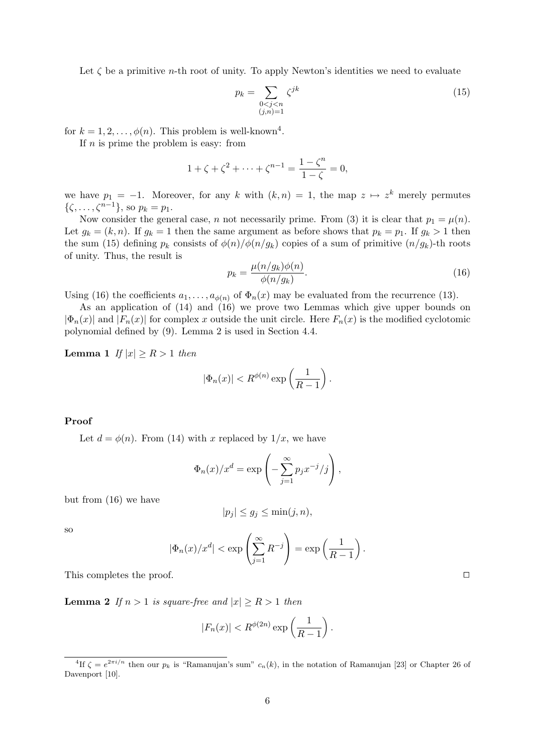Let  $\zeta$  be a primitive *n*-th root of unity. To apply Newton's identities we need to evaluate

$$
p_k = \sum_{\substack{0 < j < n \\ (j,n)=1}} \zeta^{jk} \tag{15}
$$

for  $k = 1, 2, \ldots, \phi(n)$ . This problem is well-known<sup>4</sup>.

If  $n$  is prime the problem is easy: from

$$
1 + \zeta + \zeta^2 + \dots + \zeta^{n-1} = \frac{1 - \zeta^n}{1 - \zeta} = 0,
$$

we have  $p_1 = -1$ . Moreover, for any k with  $(k, n) = 1$ , the map  $z \mapsto z^k$  merely permutes  $\{\zeta, \ldots, \zeta^{n-1}\},$  so  $p_k = p_1$ .

Now consider the general case, n not necessarily prime. From (3) it is clear that  $p_1 = \mu(n)$ . Let  $g_k = (k, n)$ . If  $g_k = 1$  then the same argument as before shows that  $p_k = p_1$ . If  $g_k > 1$  then the sum (15) defining  $p_k$  consists of  $\phi(n)/\phi(n/g_k)$  copies of a sum of primitive  $(n/g_k)$ -th roots of unity. Thus, the result is

$$
p_k = \frac{\mu(n/g_k)\phi(n)}{\phi(n/g_k)}.
$$
\n(16)

Using (16) the coefficients  $a_1, \ldots, a_{\phi(n)}$  of  $\Phi_n(x)$  may be evaluated from the recurrence (13).

As an application of (14) and (16) we prove two Lemmas which give upper bounds on  $|\Phi_n(x)|$  and  $|F_n(x)|$  for complex x outside the unit circle. Here  $F_n(x)$  is the modified cyclotomic polynomial defined by (9). Lemma 2 is used in Section 4.4.

**Lemma 1** If  $|x| \ge R > 1$  then

$$
|\Phi_n(x)| < R^{\phi(n)} \exp\left(\frac{1}{R-1}\right).
$$

## Proof

Let  $d = \phi(n)$ . From (14) with x replaced by  $1/x$ , we have

$$
\Phi_n(x)/x^d = \exp\left(-\sum_{j=1}^{\infty} p_j x^{-j}/j\right),\,
$$

but from (16) we have

$$
|p_j| \le g_j \le \min(j, n),
$$

so

$$
|\Phi_n(x)/x^d| < \exp\left(\sum_{j=1}^{\infty} R^{-j}\right) = \exp\left(\frac{1}{R-1}\right).
$$

This completes the proof.  $\Box$ 

**Lemma 2** If  $n > 1$  is square-free and  $|x| \ge R > 1$  then

$$
|F_n(x)| < R^{\phi(2n)} \exp\left(\frac{1}{R-1}\right).
$$

<sup>&</sup>lt;sup>4</sup>If  $\zeta = e^{2\pi i/n}$  then our  $p_k$  is "Ramanujan's sum"  $c_n(k)$ , in the notation of Ramanujan [23] or Chapter 26 of Davenport [10].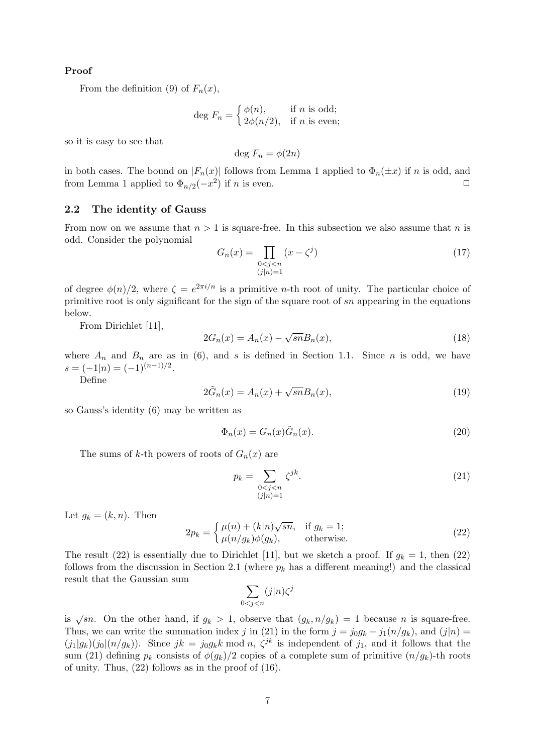## Proof

From the definition (9) of  $F_n(x)$ ,

$$
\deg F_n = \begin{cases} \phi(n), & \text{if } n \text{ is odd;} \\ 2\phi(n/2), & \text{if } n \text{ is even;} \end{cases}
$$

so it is easy to see that

deg  $F_n = \phi(2n)$ 

in both cases. The bound on  $|F_n(x)|$  follows from Lemma 1 applied to  $\Phi_n(\pm x)$  if n is odd, and from Lemma 1 applied to  $\Phi_{n/2}(-x^2)$  if n is even.

## 2.2 The identity of Gauss

From now on we assume that  $n > 1$  is square-free. In this subsection we also assume that n is odd. Consider the polynomial

$$
G_n(x) = \prod_{\substack{0 < j < n \\ (j|n) = 1}} (x - \zeta^j) \tag{17}
$$

of degree  $\phi(n)/2$ , where  $\zeta = e^{2\pi i/n}$  is a primitive *n*-th root of unity. The particular choice of primitive root is only significant for the sign of the square root of sn appearing in the equations below.

From Dirichlet [11],

$$
2G_n(x) = A_n(x) - \sqrt{sn}B_n(x),\tag{18}
$$

where  $A_n$  and  $B_n$  are as in (6), and s is defined in Section 1.1. Since n is odd, we have  $s = (-1|n) = (-1)^{(n-1)/2}.$ 

Define

$$
2\tilde{G}_n(x) = A_n(x) + \sqrt{sn}B_n(x),\tag{19}
$$

so Gauss's identity (6) may be written as

$$
\Phi_n(x) = G_n(x)\tilde{G}_n(x). \tag{20}
$$

The sums of k-th powers of roots of  $G_n(x)$  are

$$
p_k = \sum_{\substack{0 < j < n \\ (j|n)=1}} \zeta^{jk}.\tag{21}
$$

Let  $g_k = (k, n)$ . Then

$$
2p_k = \begin{cases} \mu(n) + (k|n)\sqrt{sn}, & \text{if } g_k = 1; \\ \mu(n/g_k)\phi(g_k), & \text{otherwise.} \end{cases}
$$
 (22)

The result (22) is essentially due to Dirichlet [11], but we sketch a proof. If  $g_k = 1$ , then (22) follows from the discussion in Section 2.1 (where  $p_k$  has a different meaning!) and the classical result that the Gaussian sum

$$
\sum_{0 < j < n} (j|n) \zeta^j
$$

is  $\sqrt{sn}$ . On the other hand, if  $g_k > 1$ , observe that  $(g_k, n/g_k) = 1$  because n is square-free. Thus, we can write the summation index j in (21) in the form  $j = j_0 g_k + j_1(n/g_k)$ , and  $(j|n)$  $(j_1|g_k)(j_0|(n/g_k))$ . Since  $jk = j_0g_kk \mod n$ ,  $\zeta^{jk}$  is independent of  $j_1$ , and it follows that the sum (21) defining  $p_k$  consists of  $\phi(g_k)/2$  copies of a complete sum of primitive  $(n/g_k)$ -th roots of unity. Thus, (22) follows as in the proof of (16).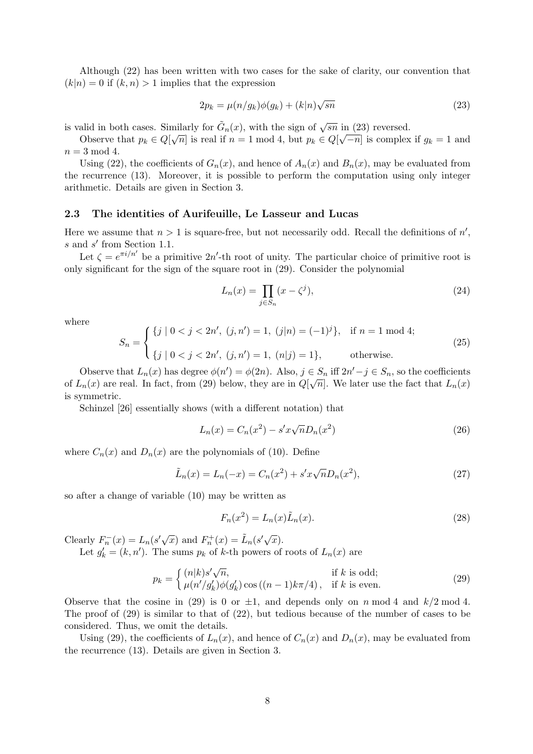Although (22) has been written with two cases for the sake of clarity, our convention that  $(k|n) = 0$  if  $(k, n) > 1$  implies that the expression

$$
2p_k = \mu(n/g_k)\phi(g_k) + (k|n)\sqrt{sn}
$$
\n(23)

is valid in both cases. Similarly for  $\tilde{G}_n(x)$ , with the sign of  $\sqrt{sn}$  in (23) reversed.

Observe that  $p_k \in Q[\sqrt{n}]$  is real if  $n = 1 \mod 4$ , but  $p_k \in Q[\sqrt{-n}]$  is complex if  $g_k = 1$  and  $n = 3 \mod 4$ .

Using (22), the coefficients of  $G_n(x)$ , and hence of  $A_n(x)$  and  $B_n(x)$ , may be evaluated from the recurrence (13). Moreover, it is possible to perform the computation using only integer arithmetic. Details are given in Section 3.

## 2.3 The identities of Aurifeuille, Le Lasseur and Lucas

Here we assume that  $n > 1$  is square-free, but not necessarily odd. Recall the definitions of  $n'$ ,  $s$  and  $s'$  from Section 1.1.

Let  $\zeta = e^{\pi i/n'}$  be a primitive  $2n'$ -th root of unity. The particular choice of primitive root is only significant for the sign of the square root in (29). Consider the polynomial

$$
L_n(x) = \prod_{j \in S_n} (x - \zeta^j),\tag{24}
$$

where

$$
S_n = \begin{cases} \{j \mid 0 < j < 2n', \ (j, n') = 1, \ (j|n) = (-1)^j \}, & \text{if } n = 1 \text{ mod } 4; \\ \{j \mid 0 < j < 2n', \ (j, n') = 1, \ (n|j) = 1 \}, & \text{otherwise.} \end{cases} \tag{25}
$$

Observe that  $L_n(x)$  has degree  $\phi(n') = \phi(2n)$ . Also,  $j \in S_n$  iff  $2n' - j \in S_n$ , so the coefficients of  $L_n(x)$  are real. In fact, from (29) below, they are in  $Q[\sqrt{n}]$ . We later use the fact that  $L_n(x)$ is symmetric.

Schinzel [26] essentially shows (with a different notation) that

$$
L_n(x) = C_n(x^2) - s'x\sqrt{n}D_n(x^2)
$$
\n(26)

where  $C_n(x)$  and  $D_n(x)$  are the polynomials of (10). Define

$$
\tilde{L}_n(x) = L_n(-x) = C_n(x^2) + s'x\sqrt{n}D_n(x^2),
$$
\n(27)

so after a change of variable (10) may be written as

$$
F_n(x^2) = L_n(x)\tilde{L}_n(x). \tag{28}
$$

Clearly  $F_n^{-}(x) = L_n(s'\sqrt{x})$  and  $F_n^{+}(x) = \tilde{L}_n(s'\sqrt{x})$ .

Let  $g'_k = (k, n')$ . The sums  $p_k$  of k-th powers of roots of  $L_n(x)$  are

$$
p_k = \begin{cases} (n|k)s'\sqrt{n}, & \text{if } k \text{ is odd;}\\ \mu(n'/g'_k)\phi(g'_k)\cos((n-1)k\pi/4), & \text{if } k \text{ is even.} \end{cases}
$$
(29)

Observe that the cosine in (29) is 0 or  $\pm 1$ , and depends only on n mod 4 and  $k/2$  mod 4. The proof of (29) is similar to that of (22), but tedious because of the number of cases to be considered. Thus, we omit the details.

Using (29), the coefficients of  $L_n(x)$ , and hence of  $C_n(x)$  and  $D_n(x)$ , may be evaluated from the recurrence (13). Details are given in Section 3.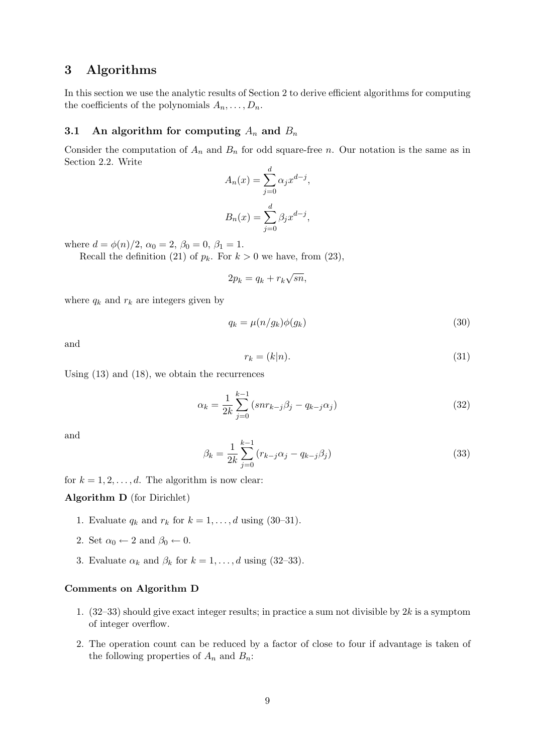# 3 Algorithms

In this section we use the analytic results of Section 2 to derive efficient algorithms for computing the coefficients of the polynomials  $A_n, \ldots, D_n$ .

## 3.1 An algorithm for computing  $A_n$  and  $B_n$

Consider the computation of  $A_n$  and  $B_n$  for odd square-free n. Our notation is the same as in Section 2.2. Write

$$
A_n(x) = \sum_{j=0}^d \alpha_j x^{d-j},
$$
  

$$
B_n(x) = \sum_{j=0}^d \beta_j x^{d-j},
$$

where  $d = \phi(n)/2$ ,  $\alpha_0 = 2$ ,  $\beta_0 = 0$ ,  $\beta_1 = 1$ .

Recall the definition (21) of  $p_k$ . For  $k > 0$  we have, from (23),

$$
2p_k = q_k + r_k \sqrt{sn},
$$

where  $q_k$  and  $r_k$  are integers given by

$$
q_k = \mu(n/g_k)\phi(g_k) \tag{30}
$$

and

$$
r_k = (k|n). \tag{31}
$$

Using (13) and (18), we obtain the recurrences

$$
\alpha_k = \frac{1}{2k} \sum_{j=0}^{k-1} (snr_{k-j}\beta_j - q_{k-j}\alpha_j)
$$
\n(32)

and

$$
\beta_k = \frac{1}{2k} \sum_{j=0}^{k-1} (r_{k-j}\alpha_j - q_{k-j}\beta_j)
$$
\n(33)

for  $k = 1, 2, \ldots, d$ . The algorithm is now clear:

## Algorithm D (for Dirichlet)

- 1. Evaluate  $q_k$  and  $r_k$  for  $k = 1, \ldots, d$  using (30–31).
- 2. Set  $\alpha_0 \leftarrow 2$  and  $\beta_0 \leftarrow 0$ .
- 3. Evaluate  $\alpha_k$  and  $\beta_k$  for  $k = 1, \ldots, d$  using (32–33).

## Comments on Algorithm D

- 1.  $(32-33)$  should give exact integer results; in practice a sum not divisible by 2k is a symptom of integer overflow.
- 2. The operation count can be reduced by a factor of close to four if advantage is taken of the following properties of  $A_n$  and  $B_n$ :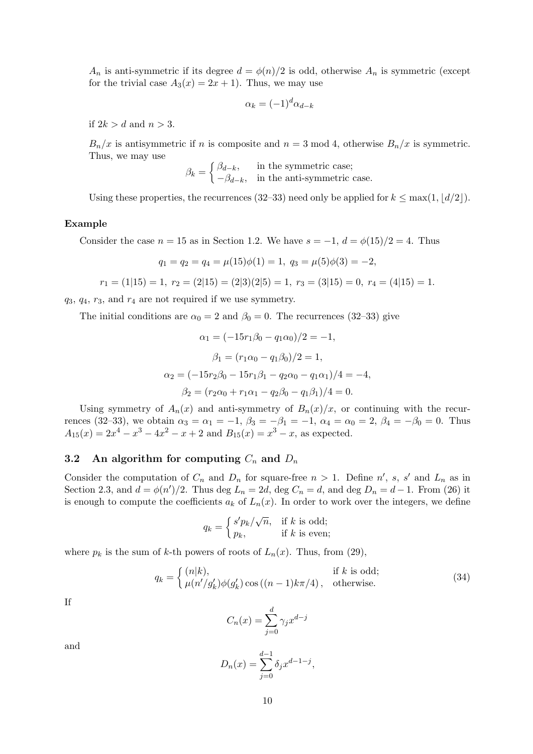$A_n$  is anti-symmetric if its degree  $d = \phi(n)/2$  is odd, otherwise  $A_n$  is symmetric (except for the trivial case  $A_3(x) = 2x + 1$ . Thus, we may use

$$
\alpha_k = (-1)^d \alpha_{d-k}
$$

if  $2k > d$  and  $n > 3$ .

 $B_n/x$  is antisymmetric if n is composite and  $n = 3 \text{ mod } 4$ , otherwise  $B_n/x$  is symmetric. Thus, we may use

$$
\beta_k = \begin{cases} \beta_{d-k}, & \text{in the symmetric case;} \\ -\beta_{d-k}, & \text{in the anti-symmetric case.} \end{cases}
$$

Using these properties, the recurrences (32–33) need only be applied for  $k \leq \max(1, \lfloor d/2 \rfloor)$ .

#### Example

Consider the case  $n = 15$  as in Section 1.2. We have  $s = -1$ ,  $d = \phi(15)/2 = 4$ . Thus

$$
q_1 = q_2 = q_4 = \mu(15)\phi(1) = 1, \ q_3 = \mu(5)\phi(3) = -2,
$$

$$
r_1 = (1|15) = 1, r_2 = (2|15) = (2|3)(2|5) = 1, r_3 = (3|15) = 0, r_4 = (4|15) = 1.
$$

 $q_3, q_4, r_3,$  and  $r_4$  are not required if we use symmetry.

The initial conditions are  $\alpha_0 = 2$  and  $\beta_0 = 0$ . The recurrences (32–33) give

$$
\alpha_1 = (-15r_1\beta_0 - q_1\alpha_0)/2 = -1,
$$
  
\n
$$
\beta_1 = (r_1\alpha_0 - q_1\beta_0)/2 = 1,
$$
  
\n
$$
\alpha_2 = (-15r_2\beta_0 - 15r_1\beta_1 - q_2\alpha_0 - q_1\alpha_1)/4 = -4,
$$
  
\n
$$
\beta_2 = (r_2\alpha_0 + r_1\alpha_1 - q_2\beta_0 - q_1\beta_1)/4 = 0.
$$

Using symmetry of  $A_n(x)$  and anti-symmetry of  $B_n(x)/x$ , or continuing with the recurrences (32–33), we obtain  $\alpha_3 = \alpha_1 = -1$ ,  $\beta_3 = -\beta_1 = -1$ ,  $\alpha_4 = \alpha_0 = 2$ ,  $\beta_4 = -\beta_0 = 0$ . Thus  $A_{15}(x) = 2x^4 - x^3 - 4x^2 - x + 2$  and  $B_{15}(x) = x^3 - x$ , as expected.

## 3.2 An algorithm for computing  $C_n$  and  $D_n$

Consider the computation of  $C_n$  and  $D_n$  for square-free  $n > 1$ . Define n', s, s' and  $L_n$  as in Section 2.3, and  $d = \phi(n')/2$ . Thus deg  $L_n = 2d$ , deg  $C_n = d$ , and deg  $D_n = d - 1$ . From (26) it is enough to compute the coefficients  $a_k$  of  $L_n(x)$ . In order to work over the integers, we define

$$
q_k = \begin{cases} s' p_k / \sqrt{n}, & \text{if } k \text{ is odd}; \\ p_k, & \text{if } k \text{ is even}; \end{cases}
$$

where  $p_k$  is the sum of k-th powers of roots of  $L_n(x)$ . Thus, from (29),

$$
q_k = \begin{cases} (n|k), & \text{if } k \text{ is odd;}\\ \mu(n'/g'_k)\phi(g'_k)\cos((n-1)k\pi/4), & \text{otherwise.} \end{cases}
$$
(34)

If

$$
C_n(x) = \sum_{j=0}^d \gamma_j x^{d-j}
$$

and

$$
D_n(x) = \sum_{j=0}^{d-1} \delta_j x^{d-1-j},
$$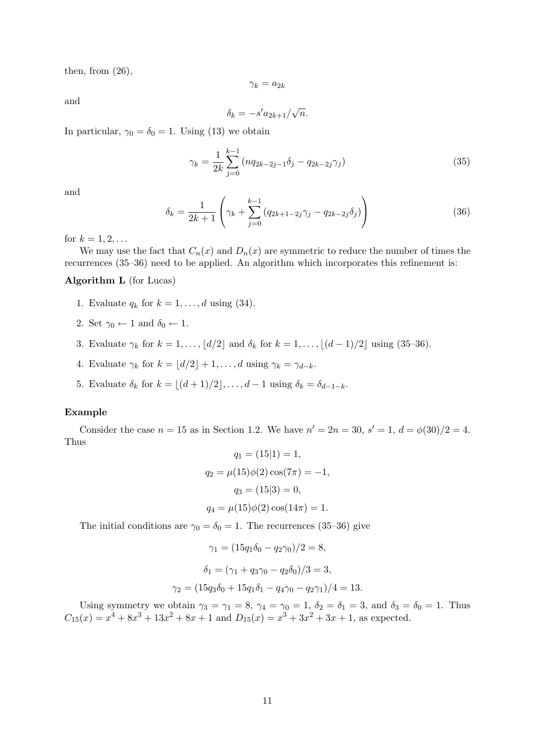then, from  $(26)$ ,

$$
\gamma_k = a_{2k}
$$

and

$$
\delta_k = -s' a_{2k+1}/\sqrt{n}.
$$

In particular,  $\gamma_0 = \delta_0 = 1$ . Using (13) we obtain

$$
\gamma_k = \frac{1}{2k} \sum_{j=0}^{k-1} \left( nq_{2k-2j-1} \delta_j - q_{2k-2j} \gamma_j \right) \tag{35}
$$

and

$$
\delta_k = \frac{1}{2k+1} \left( \gamma_k + \sum_{j=0}^{k-1} \left( q_{2k+1-2j} \gamma_j - q_{2k-2j} \delta_j \right) \right)
$$
(36)

for  $k = 1, 2, ...$ 

We may use the fact that  $C_n(x)$  and  $D_n(x)$  are symmetric to reduce the number of times the recurrences (35–36) need to be applied. An algorithm which incorporates this refinement is:

## Algorithm L (for Lucas)

- 1. Evaluate  $q_k$  for  $k = 1, \ldots, d$  using (34).
- 2. Set  $\gamma_0 \leftarrow 1$  and  $\delta_0 \leftarrow 1$ .
- 3. Evaluate  $\gamma_k$  for  $k = 1, \ldots, \lfloor d/2 \rfloor$  and  $\delta_k$  for  $k = 1, \ldots, \lfloor (d-1)/2 \rfloor$  using (35–36).
- 4. Evaluate  $\gamma_k$  for  $k = \lfloor d/2 \rfloor + 1, \ldots, d$  using  $\gamma_k = \gamma_{d-k}$ .
- 5. Evaluate  $\delta_k$  for  $k = \lfloor (d + 1)/2 \rfloor, \ldots, d 1$  using  $\delta_k = \delta_{d-1-k}$ .

## Example

Consider the case  $n = 15$  as in Section 1.2. We have  $n' = 2n = 30$ ,  $s' = 1$ ,  $d = \phi(30)/2 = 4$ . Thus

$$
q_1 = (15|1) = 1,
$$
  
\n
$$
q_2 = \mu(15)\phi(2)\cos(7\pi) = -1,
$$
  
\n
$$
q_3 = (15|3) = 0,
$$
  
\n
$$
q_4 = \mu(15)\phi(2)\cos(14\pi) = 1.
$$

The initial conditions are  $\gamma_0 = \delta_0 = 1$ . The recurrences (35–36) give

$$
\gamma_1 = (15q_1\delta_0 - q_2\gamma_0)/2 = 8,
$$
  
\n
$$
\delta_1 = (\gamma_1 + q_3\gamma_0 - q_2\delta_0)/3 = 3,
$$
  
\n
$$
\gamma_2 = (15q_3\delta_0 + 15q_1\delta_1 - q_4\gamma_0 - q_2\gamma_1)/4 = 13.
$$

Using symmetry we obtain  $\gamma_3 = \gamma_1 = 8$ ,  $\gamma_4 = \gamma_0 = 1$ ,  $\delta_2 = \delta_1 = 3$ , and  $\delta_3 = \delta_0 = 1$ . Thus  $C_{15}(x) = x^4 + 8x^3 + 13x^2 + 8x + 1$  and  $D_{15}(x) = x^3 + 3x^2 + 3x + 1$ , as expected.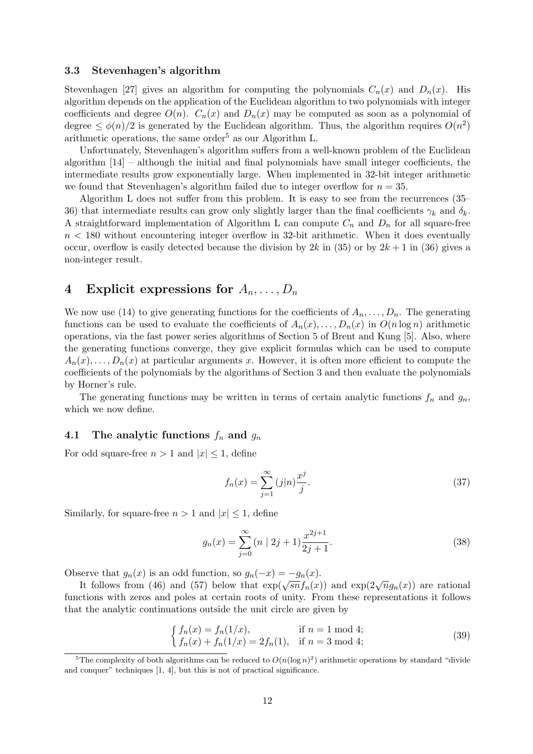## 3.3 Stevenhagen's algorithm

Stevenhagen [27] gives an algorithm for computing the polynomials  $C_n(x)$  and  $D_n(x)$ . His algorithm depends on the application of the Euclidean algorithm to two polynomials with integer coefficients and degree  $O(n)$ .  $C_n(x)$  and  $D_n(x)$  may be computed as soon as a polynomial of degree  $\leq \phi(n)/2$  is generated by the Euclidean algorithm. Thus, the algorithm requires  $O(n^2)$ arithmetic operations, the same order<sup>5</sup> as our Algorithm L.

Unfortunately, Stevenhagen's algorithm suffers from a well-known problem of the Euclidean algorithm  $[14]$  – although the initial and final polynomials have small integer coefficients, the intermediate results grow exponentially large. When implemented in 32-bit integer arithmetic we found that Stevenhagen's algorithm failed due to integer overflow for  $n = 35$ .

Algorithm L does not suffer from this problem. It is easy to see from the recurrences (35– 36) that intermediate results can grow only slightly larger than the final coefficients  $\gamma_k$  and  $\delta_k$ . A straightforward implementation of Algorithm L can compute  $C_n$  and  $D_n$  for all square-free  $n < 180$  without encountering integer overflow in 32-bit arithmetic. When it does eventually occur, overflow is easily detected because the division by  $2k$  in (35) or by  $2k + 1$  in (36) gives a non-integer result.

# 4 Explicit expressions for  $A_n, \ldots, D_n$

We now use (14) to give generating functions for the coefficients of  $A_n, \ldots, D_n$ . The generating functions can be used to evaluate the coefficients of  $A_n(x), \ldots, D_n(x)$  in  $O(n \log n)$  arithmetic operations, via the fast power series algorithms of Section 5 of Brent and Kung [5]. Also, where the generating functions converge, they give explicit formulas which can be used to compute  $A_n(x), \ldots, D_n(x)$  at particular arguments x. However, it is often more efficient to compute the coefficients of the polynomials by the algorithms of Section 3 and then evaluate the polynomials by Horner's rule.

The generating functions may be written in terms of certain analytic functions  $f_n$  and  $g_n$ , which we now define.

## 4.1 The analytic functions  $f_n$  and  $g_n$

For odd square-free  $n > 1$  and  $|x| \leq 1$ , define

$$
f_n(x) = \sum_{j=1}^{\infty} (j|n) \frac{x^j}{j}.
$$
 (37)

Similarly, for square-free  $n > 1$  and  $|x| \leq 1$ , define

$$
g_n(x) = \sum_{j=0}^{\infty} (n \mid 2j+1) \frac{x^{2j+1}}{2j+1}.
$$
 (38)

Observe that  $g_n(x)$  is an odd function, so  $g_n(-x) = -g_n(x)$ .

Euve that  $g_n(x)$  is an odd function, so  $g_n(-x) = -g_n(x)$ .<br>It follows from (46) and (57) below that  $\exp(\sqrt{sn} f_n(x))$  and  $\exp(2\sqrt{n} g_n(x))$  are rational functions with zeros and poles at certain roots of unity. From these representations it follows that the analytic continuations outside the unit circle are given by

$$
\begin{cases} f_n(x) = f_n(1/x), & \text{if } n = 1 \text{ mod } 4; \\ f_n(x) + f_n(1/x) = 2f_n(1), & \text{if } n = 3 \text{ mod } 4; \end{cases}
$$
 (39)

<sup>&</sup>lt;sup>5</sup>The complexity of both algorithms can be reduced to  $O(n(\log n)^2)$  arithmetic operations by standard "divide" and conquer" techniques [1, 4], but this is not of practical significance.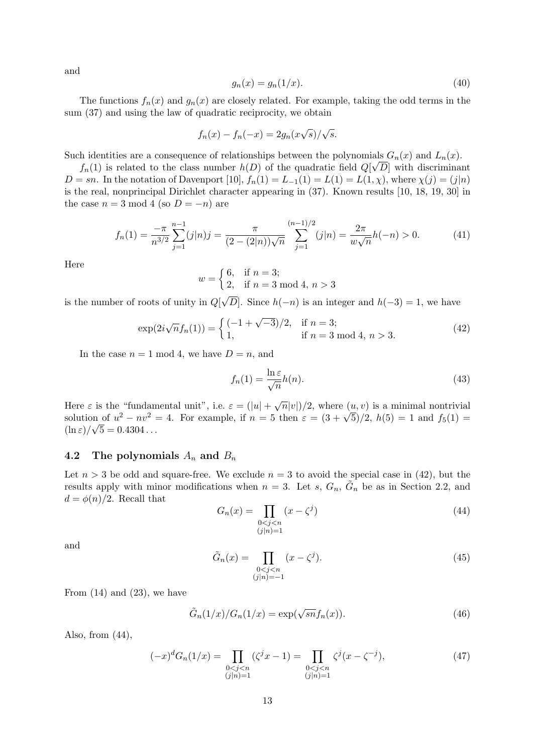and

$$
g_n(x) = g_n(1/x). \tag{40}
$$

The functions  $f_n(x)$  and  $g_n(x)$  are closely related. For example, taking the odd terms in the sum (37) and using the law of quadratic reciprocity, we obtain

$$
f_n(x) - f_n(-x) = 2g_n(x\sqrt{s})/\sqrt{s}.
$$

Such identities are a consequence of relationships between the polynomials  $G_n(x)$  and  $L_n(x)$ .

 $f_n(1)$  is related to the class number  $h(D)$  of the quadratic field  $Q[\sqrt{D}]$  with discriminant  $D = sn$ . In the notation of Davenport [10],  $f_n(1) = L_{-1}(1) = L(1) = L(1, \chi)$ , where  $\chi(j) = (j|n)$ is the real, nonprincipal Dirichlet character appearing in (37). Known results [10, 18, 19, 30] in the case  $n = 3 \text{ mod } 4$  (so  $D = -n$ ) are

$$
f_n(1) = \frac{-\pi}{n^{3/2}} \sum_{j=1}^{n-1} (j|n)j = \frac{\pi}{(2 - (2|n))\sqrt{n}} \sum_{j=1}^{(n-1)/2} (j|n) = \frac{2\pi}{w\sqrt{n}} h(-n) > 0.
$$
 (41)

Here

$$
w = \begin{cases} 6, & \text{if } n = 3; \\ 2, & \text{if } n = 3 \text{ mod } 4, n > 3 \end{cases}
$$

is the number of roots of unity in Q[ D. Since  $h(-n)$  is an integer and  $h(-3) = 1$ , we have

$$
\exp(2i\sqrt{n}f_n(1)) = \begin{cases} (-1+\sqrt{-3})/2, & \text{if } n = 3; \\ 1, & \text{if } n = 3 \text{ mod } 4, n > 3. \end{cases}
$$
(42)

In the case  $n = 1 \mod 4$ , we have  $D = n$ , and

$$
f_n(1) = \frac{\ln \varepsilon}{\sqrt{n}} h(n). \tag{43}
$$

Here  $\varepsilon$  is the "fundamental unit", i.e.  $\varepsilon = (|u| + \sqrt{n}|v|)/2$ , where  $(u, v)$  is a minimal nontrivial solution of  $u^2 - nv^2 = 4$ . For example, if  $n = 5$  then  $\varepsilon = (3 + \sqrt{5})/2$ ,  $h(5) = 1$  and  $f_5(1) =$  $(\ln \varepsilon)/\sqrt{5} = 0.4304...$ 

## 4.2 The polynomials  $A_n$  and  $B_n$

Let  $n > 3$  be odd and square-free. We exclude  $n = 3$  to avoid the special case in (42), but the results apply with minor modifications when  $n = 3$ . Let s,  $G_n$ ,  $\tilde{G}_n$  be as in Section 2.2, and  $d = \phi(n)/2$ . Recall that

$$
G_n(x) = \prod_{\substack{0 < j < n \\ (j|n) = 1}} (x - \zeta^j) \tag{44}
$$

and

$$
\tilde{G}_n(x) = \prod_{\substack{0 < j < n \\ (j|n) = -1}} (x - \zeta^j). \tag{45}
$$

From  $(14)$  and  $(23)$ , we have

$$
\tilde{G}_n(1/x)/G_n(1/x) = \exp(\sqrt{sn}f_n(x)).\tag{46}
$$

Also, from  $(44)$ ,

$$
(-x)^{d}G_{n}(1/x) = \prod_{\substack{0 < j < n \\ (j|n)=1}} (\zeta^{j}x - 1) = \prod_{\substack{0 < j < n \\ (j|n)=1}} \zeta^{j}(x - \zeta^{-j}),\tag{47}
$$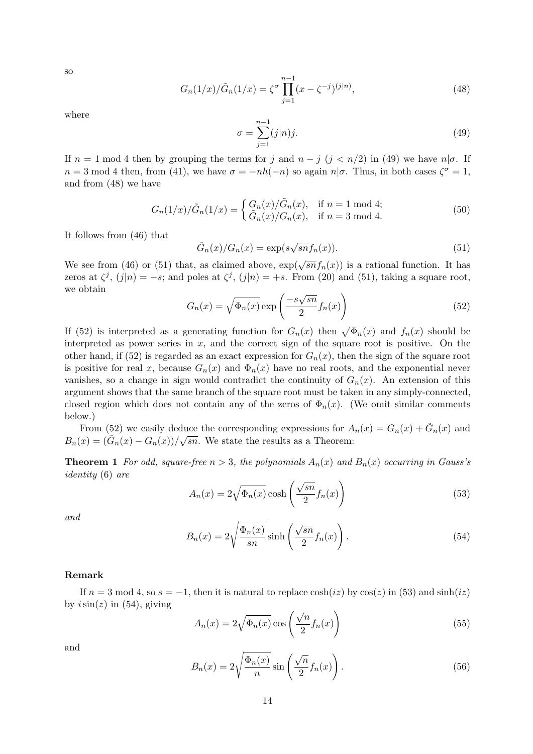so

$$
G_n(1/x)/\tilde{G}_n(1/x) = \zeta^{\sigma} \prod_{j=1}^{n-1} (x - \zeta^{-j})^{(j|n)},
$$
\n(48)

where

$$
\sigma = \sum_{j=1}^{n-1} (j|n)j.
$$
\n(49)

If  $n = 1 \mod 4$  then by grouping the terms for j and  $n - j$  (j < n/2) in (49) we have  $n | \sigma$ . If  $n = 3 \text{ mod } 4$  then, from (41), we have  $\sigma = -nh(-n)$  so again  $n|\sigma$ . Thus, in both cases  $\zeta^{\sigma} = 1$ , and from (48) we have

$$
G_n(1/x)/\tilde{G}_n(1/x) = \begin{cases} G_n(x)/\tilde{G}_n(x), & \text{if } n = 1 \text{ mod } 4; \\ \tilde{G}_n(x)/G_n(x), & \text{if } n = 3 \text{ mod } 4. \end{cases}
$$
(50)

It follows from (46) that

$$
\tilde{G}_n(x)/G_n(x) = \exp(s\sqrt{sn}f_n(x)).\tag{51}
$$

We see from (46) or (51) that, as claimed above,  $\exp(\sqrt{sn}f_n(x))$  is a rational function. It has zeros at  $\zeta^j$ ,  $(j|n) = -s$ ; and poles at  $\zeta^j$ ,  $(j|n) = +s$ . From (20) and (51), taking a square root, we obtain √

$$
G_n(x) = \sqrt{\Phi_n(x)} \exp\left(\frac{-s\sqrt{sn}}{2} f_n(x)\right)
$$
\n(52)

If (52) is interpreted as a generating function for  $G_n(x)$  then  $\sqrt{\Phi_n(x)}$  and  $f_n(x)$  should be interpreted as power series in  $x$ , and the correct sign of the square root is positive. On the other hand, if (52) is regarded as an exact expression for  $G_n(x)$ , then the sign of the square root is positive for real x, because  $G_n(x)$  and  $\Phi_n(x)$  have no real roots, and the exponential never vanishes, so a change in sign would contradict the continuity of  $G_n(x)$ . An extension of this argument shows that the same branch of the square root must be taken in any simply-connected, closed region which does not contain any of the zeros of  $\Phi_n(x)$ . (We omit similar comments below.)

From (52) we easily deduce the corresponding expressions for  $A_n(x) = G_n(x) + \tilde{G}_n(x)$  and  $B_n(x) = (\tilde{G}_n(x) - G_n(x))/\sqrt{sn}$ . We state the results as a Theorem:

**Theorem 1** For odd, square-free  $n > 3$ , the polynomials  $A_n(x)$  and  $B_n(x)$  occurring in Gauss's identity (6) are

$$
A_n(x) = 2\sqrt{\Phi_n(x)} \cosh\left(\frac{\sqrt{sn}}{2} f_n(x)\right) \tag{53}
$$

and

$$
B_n(x) = 2\sqrt{\frac{\Phi_n(x)}{sn}} \sinh\left(\frac{\sqrt{sn}}{2} f_n(x)\right). \tag{54}
$$

## Remark

If  $n = 3 \mod 4$ , so  $s = -1$ , then it is natural to replace  $cosh(iz)$  by  $cos(z)$  in (53) and  $sinh(iz)$ by  $i\sin(z)$  in (54), giving

$$
A_n(x) = 2\sqrt{\Phi_n(x)} \cos\left(\frac{\sqrt{n}}{2} f_n(x)\right) \tag{55}
$$

and

$$
B_n(x) = 2\sqrt{\frac{\Phi_n(x)}{n}} \sin\left(\frac{\sqrt{n}}{2}f_n(x)\right). \tag{56}
$$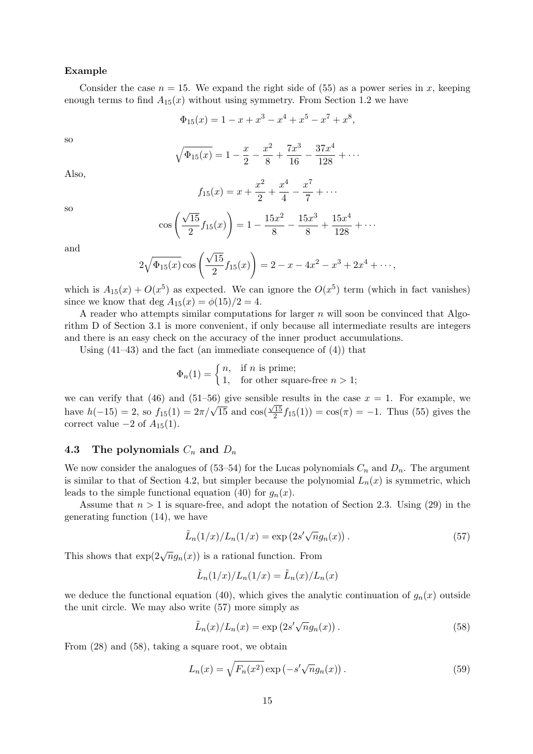#### Example

Consider the case  $n = 15$ . We expand the right side of (55) as a power series in x, keeping enough terms to find  $A_{15}(x)$  without using symmetry. From Section 1.2 we have

$$
\Phi_{15}(x) = 1 - x + x^3 - x^4 + x^5 - x^7 + x^8,
$$

so

$$
\sqrt{\Phi_{15}(x)} = 1 - \frac{x}{2} - \frac{x^2}{8} + \frac{7x^3}{16} - \frac{37x^4}{128} + \cdots
$$

Also,

$$
f_{15}(x) = x + \frac{x^2}{2} + \frac{x^4}{4} - \frac{x^7}{7} + \cdots
$$

$$
\cos\left(\frac{\sqrt{15}}{2}f_{15}(x)\right) = 1 - \frac{15x^2}{8} - \frac{15x^3}{8} + \frac{15x^4}{128} + \cdots
$$

and

so

$$
2\sqrt{\Phi_{15}(x)}\cos\left(\frac{\sqrt{15}}{2}f_{15}(x)\right) = 2 - x - 4x^2 - x^3 + 2x^4 + \cdots,
$$

which is  $A_{15}(x) + O(x^5)$  as expected. We can ignore the  $O(x^5)$  term (which in fact vanishes) since we know that deg  $A_{15}(x) = \phi(15)/2 = 4$ .

A reader who attempts similar computations for larger  $n$  will soon be convinced that Algorithm D of Section 3.1 is more convenient, if only because all intermediate results are integers and there is an easy check on the accuracy of the inner product accumulations.

Using  $(41-43)$  and the fact (an immediate consequence of  $(4)$ ) that

$$
\Phi_n(1) = \begin{cases} n, & \text{if } n \text{ is prime;} \\ 1, & \text{for other square-free } n > 1; \end{cases}
$$

we can verify that (46) and (51–56) give sensible results in the case  $x = 1$ . For example, we have  $h(-15) = 2$ , so  $f_{15}(1) = 2\pi/\sqrt{15}$  and  $\cos(\frac{\sqrt{15}}{2})$  $\frac{(15)}{2}f_{15}(1)) = \cos(\pi) = -1$ . Thus (55) gives the correct value  $-2$  of  $A_{15}(1)$ .

## 4.3 The polynomials  $C_n$  and  $D_n$

We now consider the analogues of (53–54) for the Lucas polynomials  $C_n$  and  $D_n$ . The argument is similar to that of Section 4.2, but simpler because the polynomial  $L_n(x)$  is symmetric, which leads to the simple functional equation (40) for  $g_n(x)$ .

Assume that  $n > 1$  is square-free, and adopt the notation of Section 2.3. Using (29) in the generating function (14), we have

$$
\tilde{L}_n(1/x)/L_n(1/x) = \exp(2s'\sqrt{n}g_n(x)).
$$
\n(57)

This shows that  $exp(2\sqrt{n}g_n(x))$  is a rational function. From

$$
\tilde{L}_n(1/x)/L_n(1/x) = \tilde{L}_n(x)/L_n(x)
$$

we deduce the functional equation (40), which gives the analytic continuation of  $g_n(x)$  outside the unit circle. We may also write (57) more simply as

$$
\tilde{L}_n(x)/L_n(x) = \exp\left(2s'\sqrt{n}g_n(x)\right). \tag{58}
$$

From (28) and (58), taking a square root, we obtain

$$
L_n(x) = \sqrt{F_n(x^2)} \exp\left(-s'\sqrt{n}g_n(x)\right). \tag{59}
$$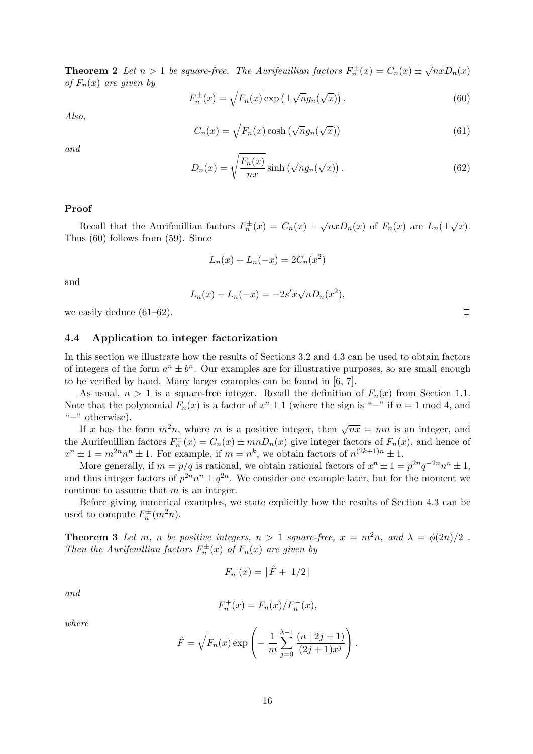**Theorem 2** Let  $n > 1$  be square-free. The Aurifeuillian factors  $F_n^{\pm}(x) = C_n(x) \pm \sqrt{nx}D_n(x)$ of  $F_n(x)$  are given by

$$
F_n^{\pm}(x) = \sqrt{F_n(x)} \exp\left(\pm \sqrt{n}g_n(\sqrt{x})\right). \tag{60}
$$

Also,

$$
C_n(x) = \sqrt{F_n(x)} \cosh\left(\sqrt{n}g_n(\sqrt{x})\right) \tag{61}
$$

and

$$
D_n(x) = \sqrt{\frac{F_n(x)}{nx}} \sinh\left(\sqrt{n}g_n(\sqrt{x})\right). \tag{62}
$$

#### Proof

Recall that the Aurifeuillian factors  $F_n^{\pm}(x) = C_n(x) \pm \sqrt{nx} D_n(x)$  of  $F_n(x)$  are  $L_n(\pm \sqrt{x})$ . Thus (60) follows from (59). Since

$$
L_n(x) + L_n(-x) = 2C_n(x^2)
$$

and

$$
L_n(x) - L_n(-x) = -2s'x\sqrt{n}D_n(x^2),
$$

we easily deduce  $(61-62)$ .

### 4.4 Application to integer factorization

In this section we illustrate how the results of Sections 3.2 and 4.3 can be used to obtain factors of integers of the form  $a^n \pm b^n$ . Our examples are for illustrative purposes, so are small enough to be verified by hand. Many larger examples can be found in [6, 7].

As usual,  $n > 1$  is a square-free integer. Recall the definition of  $F_n(x)$  from Section 1.1. Note that the polynomial  $F_n(x)$  is a factor of  $x^n \pm 1$  (where the sign is "-" if  $n = 1$  mod 4, and "+" otherwise).

If x has the form  $m^2n$ , where m is a positive integer, then  $\sqrt{nx} = mn$  is an integer, and the Aurifeuillian factors  $F_n^{\pm}(x) = C_n(x) \pm mnD_n(x)$  give integer factors of  $F_n(x)$ , and hence of  $x^n \pm 1 = m^{2n} n^n \pm 1$ . For example, if  $m = n^k$ , we obtain factors of  $n^{(2k+1)n} \pm 1$ .

More generally, if  $m = p/q$  is rational, we obtain rational factors of  $x^n \pm 1 = p^{2n}q^{-2n}n^n \pm 1$ , and thus integer factors of  $p^{2n}n^n \pm q^{2n}$ . We consider one example later, but for the moment we continue to assume that m is an integer.

Before giving numerical examples, we state explicitly how the results of Section 4.3 can be used to compute  $F_n^{\pm}(m^2n)$ .

**Theorem 3** Let m, n be positive integers,  $n > 1$  square-free,  $x = m^2n$ , and  $\lambda = \phi(2n)/2$ . Then the Aurifeuillian factors  $F_n^{\pm}(x)$  of  $F_n(x)$  are given by

$$
F_n^-(x) = \lfloor \hat{F} + \frac{1}{2} \rfloor
$$

and

$$
F_n^+(x) = F_n(x) / F_n^-(x),
$$

where

$$
\hat{F} = \sqrt{F_n(x)} \exp \left(-\frac{1}{m} \sum_{j=0}^{\lambda-1} \frac{(n \mid 2j+1)}{(2j+1)x^j}\right).
$$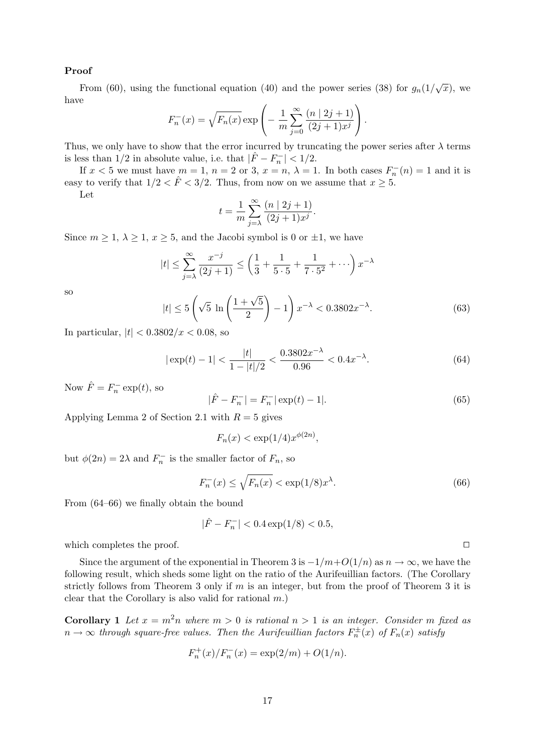## Proof

From (60), using the functional equation (40) and the power series (38) for  $g_n(1/\sqrt{x})$ , we have

$$
F_n^{-}(x) = \sqrt{F_n(x)} \exp \left(-\frac{1}{m} \sum_{j=0}^{\infty} \frac{(n \mid 2j+1)}{(2j+1)x^j}\right).
$$

Thus, we only have to show that the error incurred by truncating the power series after  $\lambda$  terms is less than 1/2 in absolute value, i.e. that  $|\hat{F} - F_n^-| < 1/2$ .

If  $x < 5$  we must have  $m = 1$ ,  $n = 2$  or 3,  $x = n$ ,  $\lambda = 1$ . In both cases  $F_n^{-}(n) = 1$  and it is easy to verify that  $1/2 < \hat{F} < 3/2$ . Thus, from now on we assume that  $x \geq 5$ .

Let

$$
t = \frac{1}{m} \sum_{j=\lambda}^{\infty} \frac{(n \mid 2j + 1)}{(2j + 1)x^{j}}.
$$

Since  $m \geq 1$ ,  $\lambda \geq 1$ ,  $x \geq 5$ , and the Jacobi symbol is 0 or  $\pm 1$ , we have

$$
|t| \le \sum_{j=\lambda}^{\infty} \frac{x^{-j}}{(2j+1)} \le \left(\frac{1}{3} + \frac{1}{5 \cdot 5} + \frac{1}{7 \cdot 5^2} + \cdots\right) x^{-\lambda}
$$

so

$$
|t| \le 5\left(\sqrt{5}\ln\left(\frac{1+\sqrt{5}}{2}\right)-1\right)x^{-\lambda} < 0.3802x^{-\lambda}.\tag{63}
$$

In particular,  $|t| < 0.3802/x < 0.08$ , so

$$
|\exp(t) - 1| < \frac{|t|}{1 - |t|/2} < \frac{0.3802x^{-\lambda}}{0.96} < 0.4x^{-\lambda}.\tag{64}
$$

Now  $\hat{F} = F_n^- \exp(t)$ , so

$$
|\hat{F} - F_n^-| = F_n^-|\exp(t) - 1|.\tag{65}
$$

Applying Lemma 2 of Section 2.1 with  $R = 5$  gives

$$
F_n(x) < \exp(1/4)x^{\phi(2n)},
$$

but  $\phi(2n) = 2\lambda$  and  $F_n^-$  is the smaller factor of  $F_n$ , so

$$
F_n^{-}(x) \le \sqrt{F_n(x)} < \exp(1/8)x^{\lambda}.\tag{66}
$$

From (64–66) we finally obtain the bound

$$
|\hat{F} - F_n^-| < 0.4 \exp(1/8) < 0.5,
$$

which completes the proof.  $\Box$ 

Since the argument of the exponential in Theorem 3 is  $-1/m+O(1/n)$  as  $n \to \infty$ , we have the following result, which sheds some light on the ratio of the Aurifeuillian factors. (The Corollary strictly follows from Theorem 3 only if  $m$  is an integer, but from the proof of Theorem 3 it is clear that the Corollary is also valid for rational  $m$ .)

**Corollary 1** Let  $x = m^2n$  where  $m > 0$  is rational  $n > 1$  is an integer. Consider m fixed as  $n \to \infty$  through square-free values. Then the Aurifeuillian factors  $F_n^{\pm}(x)$  of  $F_n(x)$  satisfy

$$
F_n^+(x)/F_n^-(x) = \exp(2/m) + O(1/n).
$$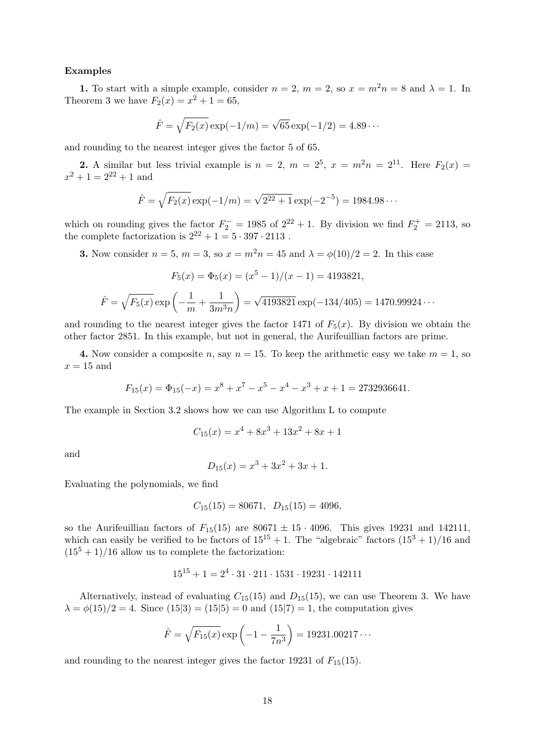## Examples

1. To start with a simple example, consider  $n = 2$ ,  $m = 2$ , so  $x = m^2 n = 8$  and  $\lambda = 1$ . In Theorem 3 we have  $F_2(x) = x^2 + 1 = 65$ ,

$$
\hat{F} = \sqrt{F_2(x)} \exp(-1/m) = \sqrt{65} \exp(-1/2) = 4.89 \cdots
$$

and rounding to the nearest integer gives the factor 5 of 65.

**2.** A similar but less trivial example is  $n = 2$ ,  $m = 2^5$ ,  $x = m^2n = 2^{11}$ . Here  $F_2(x) =$  $x^2 + 1 = 2^{22} + 1$  and

$$
\hat{F} = \sqrt{F_2(x)} \exp(-1/m) = \sqrt{2^{22} + 1} \exp(-2^{-5}) = 1984.98 \cdots
$$

which on rounding gives the factor  $F_2^- = 1985$  of  $2^{22} + 1$ . By division we find  $F_2^+ = 2113$ , so the complete factorization is  $2^{22} + 1 = 5 \cdot 397 \cdot 2113$ .

**3.** Now consider  $n = 5$ ,  $m = 3$ , so  $x = m^2n = 45$  and  $\lambda = \phi(10)/2 = 2$ . In this case

$$
F_5(x) = \Phi_5(x) = (x^5 - 1)/(x - 1) = 4193821,
$$
  

$$
\hat{F} = \sqrt{F_5(x)} \exp\left(-\frac{1}{m} + \frac{1}{3m^3n}\right) = \sqrt{4193821} \exp(-134/405) = 1470.99924\cdots
$$

and rounding to the nearest integer gives the factor 1471 of  $F_5(x)$ . By division we obtain the other factor 2851. In this example, but not in general, the Aurifeuillian factors are prime.

4. Now consider a composite n, say  $n = 15$ . To keep the arithmetic easy we take  $m = 1$ , so  $x = 15$  and

$$
F_{15}(x) = \Phi_{15}(-x) = x^8 + x^7 - x^5 - x^4 - x^3 + x + 1 = 2732936641.
$$

The example in Section 3.2 shows how we can use Algorithm L to compute

$$
C_{15}(x) = x^4 + 8x^3 + 13x^2 + 8x + 1
$$

and

$$
D_{15}(x) = x^3 + 3x^2 + 3x + 1.
$$

Evaluating the polynomials, we find

$$
C_{15}(15) = 80671, \quad D_{15}(15) = 4096,
$$

so the Aurifeuillian factors of  $F_{15}(15)$  are  $80671 \pm 15 \cdot 4096$ . This gives 19231 and 142111, which can easily be verified to be factors of  $15^{15} + 1$ . The "algebraic" factors  $(15^3 + 1)/16$  and  $(15<sup>5</sup> + 1)/16$  allow us to complete the factorization:

$$
15^{15} + 1 = 2^4 \cdot 31 \cdot 211 \cdot 1531 \cdot 19231 \cdot 142111
$$

Alternatively, instead of evaluating  $C_{15}(15)$  and  $D_{15}(15)$ , we can use Theorem 3. We have  $\lambda = \phi(15)/2 = 4$ . Since  $(15|3) = (15|5) = 0$  and  $(15|7) = 1$ , the computation gives

$$
\hat{F} = \sqrt{F_{15}(x)} \exp\left(-1 - \frac{1}{7n^3}\right) = 19231.00217\cdots
$$

and rounding to the nearest integer gives the factor 19231 of  $F_{15}(15)$ .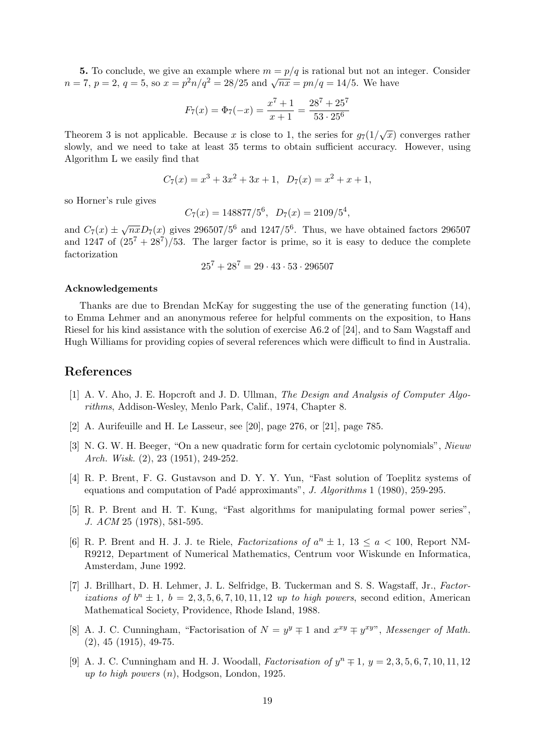5. To conclude, we give an example where  $m = p/q$  is rational but not an integer. Consider 3. To conclude, we give an example where  $m = p/q$  is rational but not an  $n = 7$ ,  $p = 2$ ,  $q = 5$ , so  $x = p^2n/q^2 = 28/25$  and  $\sqrt{nx} = pn/q = 14/5$ . We have

$$
F_7(x) = \Phi_7(-x) = \frac{x^7 + 1}{x + 1} = \frac{28^7 + 25^7}{53 \cdot 25^6}
$$

Theorem 3 is not applicable. Because x is close to 1, the series for  $g_7(1/\sqrt{x})$  converges rather slowly, and we need to take at least 35 terms to obtain sufficient accuracy. However, using Algorithm L we easily find that

$$
C_7(x) = x^3 + 3x^2 + 3x + 1, \ D_7(x) = x^2 + x + 1,
$$

so Horner's rule gives

$$
C_7(x) = 148877/5^6
$$
,  $D_7(x) = 2109/5^4$ ,

and  $C_7(x) \pm \sqrt{nx}D_7(x)$  gives 296507/5<sup>6</sup> and 1247/5<sup>6</sup>. Thus, we have obtained factors 296507 and 1247 of  $(25^7 + 28^7)/53$ . The larger factor is prime, so it is easy to deduce the complete factorization

$$
25^7 + 28^7 = 29 \cdot 43 \cdot 53 \cdot 296507
$$

## Acknowledgements

Thanks are due to Brendan McKay for suggesting the use of the generating function (14), to Emma Lehmer and an anonymous referee for helpful comments on the exposition, to Hans Riesel for his kind assistance with the solution of exercise A6.2 of [24], and to Sam Wagstaff and Hugh Williams for providing copies of several references which were difficult to find in Australia.

## References

- [1] A. V. Aho, J. E. Hopcroft and J. D. Ullman, The Design and Analysis of Computer Algorithms, Addison-Wesley, Menlo Park, Calif., 1974, Chapter 8.
- [2] A. Aurifeuille and H. Le Lasseur, see [20], page 276, or [21], page 785.
- [3] N. G. W. H. Beeger, "On a new quadratic form for certain cyclotomic polynomials", Nieuw Arch. Wisk. (2), 23 (1951), 249-252.
- [4] R. P. Brent, F. G. Gustavson and D. Y. Y. Yun, "Fast solution of Toeplitz systems of equations and computation of Padé approximants", J. Algorithms 1 (1980), 259-295.
- [5] R. P. Brent and H. T. Kung, "Fast algorithms for manipulating formal power series", J. ACM 25 (1978), 581-595.
- [6] R. P. Brent and H. J. J. te Riele, *Factorizations of*  $a^n \pm 1$ ,  $13 \le a \le 100$ , Report NM-R9212, Department of Numerical Mathematics, Centrum voor Wiskunde en Informatica, Amsterdam, June 1992.
- [7] J. Brillhart, D. H. Lehmer, J. L. Selfridge, B. Tuckerman and S. S. Wagstaff, Jr., Factorizations of  $b^n \pm 1$ ,  $b = 2, 3, 5, 6, 7, 10, 11, 12$  up to high powers, second edition, American Mathematical Society, Providence, Rhode Island, 1988.
- [8] A. J. C. Cunningham, "Factorisation of  $N = y^y \mp 1$  and  $x^{xy} \mp y^{xy}$ ", Messenger of Math. (2), 45 (1915), 49-75.
- [9] A. J. C. Cunningham and H. J. Woodall, *Factorisation of*  $y^n \neq 1$ ,  $y = 2, 3, 5, 6, 7, 10, 11, 12$ up to high powers  $(n)$ , Hodgson, London, 1925.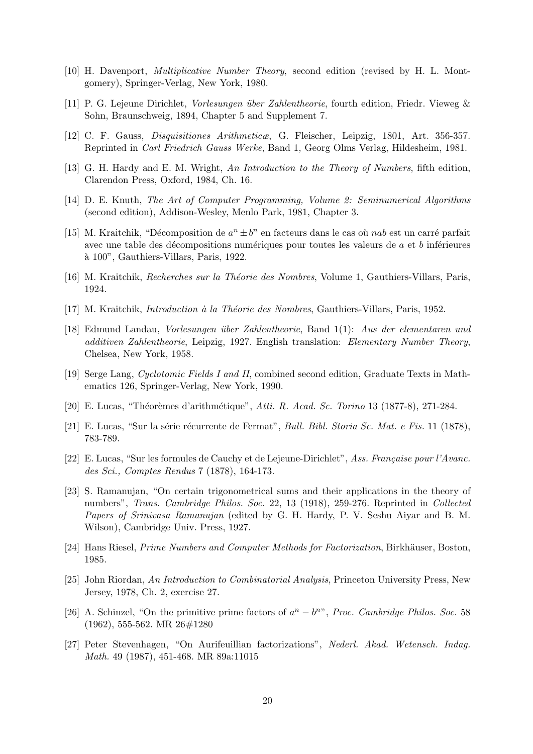- [10] H. Davenport, Multiplicative Number Theory, second edition (revised by H. L. Montgomery), Springer-Verlag, New York, 1980.
- [11] P. G. Lejeune Dirichlet, Vorlesungen ¨uber Zahlentheorie, fourth edition, Friedr. Vieweg & Sohn, Braunschweig, 1894, Chapter 5 and Supplement 7.
- [12] C. F. Gauss, Disquisitiones Arithmeticæ, G. Fleischer, Leipzig, 1801, Art. 356-357. Reprinted in Carl Friedrich Gauss Werke, Band 1, Georg Olms Verlag, Hildesheim, 1981.
- [13] G. H. Hardy and E. M. Wright, An Introduction to the Theory of Numbers, fifth edition, Clarendon Press, Oxford, 1984, Ch. 16.
- [14] D. E. Knuth, The Art of Computer Programming, Volume 2: Seminumerical Algorithms (second edition), Addison-Wesley, Menlo Park, 1981, Chapter 3.
- [15] M. Kraitchik, "Décomposition de  $a^n \pm b^n$  en facteurs dans le cas où *nab* est un carré parfait avec une table des décompositions numériques pour toutes les valeurs de  $a$  et  $b$  inférieures `a 100", Gauthiers-Villars, Paris, 1922.
- [16] M. Kraitchik, *Recherches sur la Théorie des Nombres*, Volume 1, Gauthiers-Villars, Paris, 1924.
- [17] M. Kraitchik, *Introduction à la Théorie des Nombres*, Gauthiers-Villars, Paris, 1952.
- [18] Edmund Landau, Vorlesungen ¨uber Zahlentheorie, Band 1(1): Aus der elementaren und additiven Zahlentheorie, Leipzig, 1927. English translation: Elementary Number Theory, Chelsea, New York, 1958.
- [19] Serge Lang, Cyclotomic Fields I and II, combined second edition, Graduate Texts in Mathematics 126, Springer-Verlag, New York, 1990.
- [20] E. Lucas, "Théorèmes d'arithmétique", Atti. R. Acad. Sc. Torino 13 (1877-8), 271-284.
- [21] E. Lucas, "Sur la série récurrente de Fermat", *Bull. Bibl. Storia Sc. Mat. e Fis.* 11 (1878), 783-789.
- [22] E. Lucas, "Sur les formules de Cauchy et de Lejeune-Dirichlet", Ass. Française pour l'Avanc. des Sci., Comptes Rendus 7 (1878), 164-173.
- [23] S. Ramanujan, "On certain trigonometrical sums and their applications in the theory of numbers", Trans. Cambridge Philos. Soc. 22, 13 (1918), 259-276. Reprinted in Collected Papers of Srinivasa Ramanujan (edited by G. H. Hardy, P. V. Seshu Aiyar and B. M. Wilson), Cambridge Univ. Press, 1927.
- [24] Hans Riesel, *Prime Numbers and Computer Methods for Factorization*, Birkhäuser, Boston, 1985.
- [25] John Riordan, An Introduction to Combinatorial Analysis, Princeton University Press, New Jersey, 1978, Ch. 2, exercise 27.
- [26] A. Schinzel, "On the primitive prime factors of  $a^n b^n$ ", Proc. Cambridge Philos. Soc. 58 (1962), 555-562. MR 26#1280
- [27] Peter Stevenhagen, "On Aurifeuillian factorizations", Nederl. Akad. Wetensch. Indag. Math. 49 (1987), 451-468. MR 89a:11015